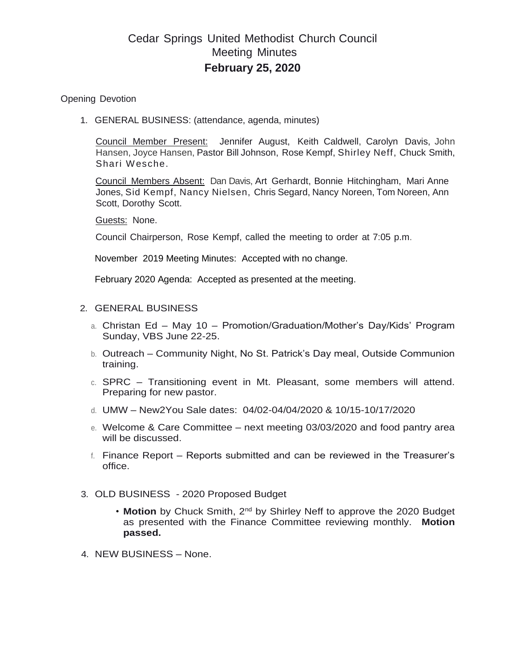## Cedar Springs United Methodist Church Council Meeting Minutes **February 25, 2020**

## Opening Devotion

1. GENERAL BUSINESS: (attendance, agenda, minutes)

Council Member Present: Jennifer August, Keith Caldwell, Carolyn Davis, John Hansen, Joyce Hansen, Pastor Bill Johnson, Rose Kempf, Shirley Neff, Chuck Smith, Shari Wesche.

Council Members Absent: Dan Davis, Art Gerhardt, Bonnie Hitchingham, Mari Anne Jones, Sid Kempf, Nancy Nielsen, Chris Segard, Nancy Noreen, Tom Noreen, Ann Scott, Dorothy Scott.

Guests: None.

Council Chairperson, Rose Kempf, called the meeting to order at 7:05 p.m.

November 2019 Meeting Minutes: Accepted with no change.

February 2020 Agenda: Accepted as presented at the meeting.

- 2. GENERAL BUSINESS
	- a. Christan Ed May 10 Promotion/Graduation/Mother's Day/Kids' Program Sunday, VBS June 22-25.
	- b. Outreach Community Night, No St. Patrick's Day meal, Outside Communion training.
	- c. SPRC Transitioning event in Mt. Pleasant, some members will attend. Preparing for new pastor.
	- d. UMW New2You Sale dates: 04/02-04/04/2020 & 10/15-10/17/2020
	- e. Welcome & Care Committee next meeting 03/03/2020 and food pantry area will be discussed.
	- f. Finance Report Reports submitted and can be reviewed in the Treasurer's office.
- 3. OLD BUSINESS 2020 Proposed Budget
	- **Motion** by Chuck Smith, 2<sup>nd</sup> by Shirley Neff to approve the 2020 Budget as presented with the Finance Committee reviewing monthly. **Motion passed.**
- 4. NEW BUSINESS None.